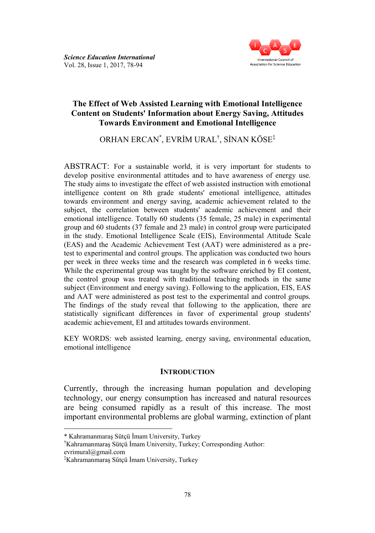

### **The Effect of Web Assisted Learning with Emotional Intelligence Content on Students' Information about Energy Saving, Attitudes Towards Environment and Emotional Intelligence**

ORHAN ERCAN\* , EVRİM URAL† , SİNAN KÖSE‡

ABSTRACT: For a sustainable world, it is very important for students to develop positive environmental attitudes and to have awareness of energy use. The study aims to investigate the effect of web assisted instruction with emotional intelligence content on 8th grade students' emotional intelligence, attitudes towards environment and energy saving, academic achievement related to the subject, the correlation between students' academic achievement and their emotional intelligence. Totally 60 students (35 female, 25 male) in experimental group and 60 students (37 female and 23 male) in control group were participated in the study. Emotional Intelligence Scale (EIS), Environmental Attitude Scale (EAS) and the Academic Achievement Test (AAT) were administered as a pretest to experimental and control groups. The application was conducted two hours per week in three weeks time and the research was completed in 6 weeks time. While the experimental group was taught by the software enriched by EI content, the control group was treated with traditional teaching methods in the same subject (Environment and energy saving). Following to the application, EIS, EAS and AAT were administered as post test to the experimental and control groups. The findings of the study reveal that following to the application, there are statistically significant differences in favor of experimental group students' academic achievement, EI and attitudes towards environment.

KEY WORDS: web assisted learning, energy saving, environmental education, emotional intelligence

#### **INTRODUCTION**

Currently, through the increasing human population and developing technology, our energy consumption has increased and natural resources are being consumed rapidly as a result of this increase. The most important environmental problems are global warming, extinction of plant

l

<sup>\*</sup> Kahramanmaraş Sütçü İmam University, Turkey

<sup>†</sup>Kahramanmaraş Sütçü İmam University, Turkey; Corresponding Author: evrimural@gmail.com

<sup>‡</sup>Kahramanmaraş Sütçü İmam University, Turkey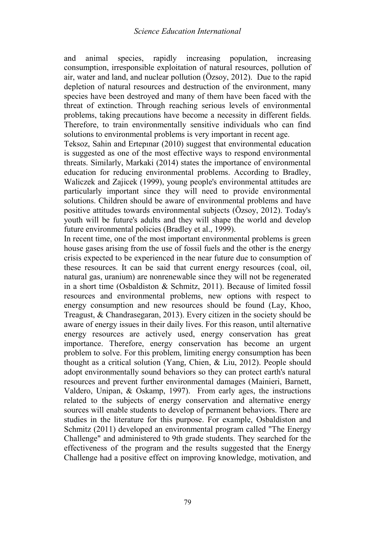and animal species, rapidly increasing population, increasing consumption, irresponsible exploitation of natural resources, pollution of air, water and land, and nuclear pollution (Özsoy, 2012). Due to the rapid depletion of natural resources and destruction of the environment, many species have been destroyed and many of them have been faced with the threat of extinction. Through reaching serious levels of environmental problems, taking precautions have become a necessity in different fields. Therefore, to train environmentally sensitive individuals who can find solutions to environmental problems is very important in recent age.

Teksoz, Sahin and Ertepınar (2010) suggest that environmental education is suggested as one of the most effective ways to respond environmental threats. Similarly, Markaki (2014) states the importance of environmental education for reducing environmental problems. According to Bradley, Waliczek and Zajicek (1999), young people's environmental attitudes are particularly important since they will need to provide environmental solutions. Children should be aware of environmental problems and have positive attitudes towards environmental subjects (Özsoy, 2012). Today's youth will be future's adults and they will shape the world and develop future environmental policies (Bradley et al., 1999).

In recent time, one of the most important environmental problems is green house gases arising from the use of fossil fuels and the other is the energy crisis expected to be experienced in the near future due to consumption of these resources. It can be said that current energy resources (coal, oil, natural gas, uranium) are nonrenewable since they will not be regenerated in a short time (Osbaldiston & Schmitz, 2011). Because of limited fossil resources and environmental problems, new options with respect to energy consumption and new resources should be found (Lay, Khoo, Treagust, & Chandrasegaran, 2013). Every citizen in the society should be aware of energy issues in their daily lives. For this reason, until alternative energy resources are actively used, energy conservation has great importance. Therefore, energy conservation has become an urgent problem to solve. For this problem, limiting energy consumption has been thought as a critical solution (Yang, Chien, & Liu, 2012). People should adopt environmentally sound behaviors so they can protect earth's natural resources and prevent further environmental damages (Mainieri, Barnett, Valdero, Unipan, & Oskamp, 1997). From early ages, the instructions related to the subjects of energy conservation and alternative energy sources will enable students to develop of permanent behaviors. There are studies in the literature for this purpose. For example, Osbaldiston and Schmitz (2011) developed an environmental program called "The Energy Challenge" and administered to 9th grade students. They searched for the effectiveness of the program and the results suggested that the Energy Challenge had a positive effect on improving knowledge, motivation, and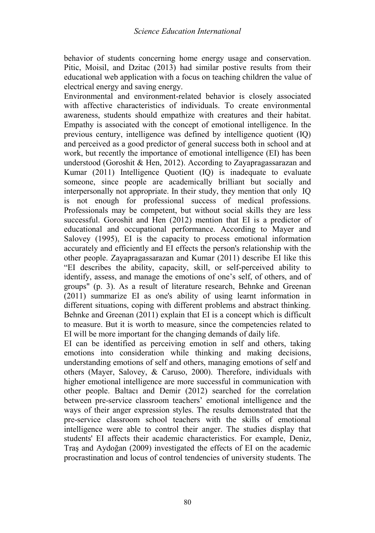behavior of students concerning home energy usage and conservation. Pitic, Moisil, and Dzitac (2013) had similar postive results from their educational web application with a focus on teaching children the value of electrical energy and saving energy.

Environmental and environment-related behavior is closely associated with affective characteristics of individuals. To create environmental awareness, students should empathize with creatures and their habitat. Empathy is associated with the concept of emotional intelligence. In the previous century, intelligence was defined by intelligence quotient (IQ) and perceived as a good predictor of general success both in school and at work, but recently the importance of emotional intelligence (EI) has been understood (Goroshit & Hen, 2012). According to Zayapragassarazan and Kumar (2011) Intelligence Quotient (IQ) is inadequate to evaluate someone, since people are academically brilliant but socially and interpersonally not appropriate. In their study, they mention that only IQ is not enough for professional success of medical professions. Professionals may be competent, but without social skills they are less successful. Goroshit and Hen (2012) mention that EI is a predictor of educational and occupational performance. According to Mayer and Salovey (1995), EI is the capacity to process emotional information accurately and efficiently and EI effects the person's relationship with the other people. Zayapragassarazan and Kumar (2011) describe EI like this "EI describes the ability, capacity, skill, or self-perceived ability to identify, assess, and manage the emotions of one's self, of others, and of groups" (p. 3). As a result of literature research, Behnke and Greenan (2011) summarize EI as one's ability of using learnt information in different situations, coping with different problems and abstract thinking. Behnke and Greenan (2011) explain that EI is a concept which is difficult to measure. But it is worth to measure, since the competencies related to EI will be more important for the changing demands of daily life.

EI can be identified as perceiving emotion in self and others, taking emotions into consideration while thinking and making decisions, understanding emotions of self and others, managing emotions of self and others (Mayer, Salovey, & Caruso, 2000). Therefore, individuals with higher emotional intelligence are more successful in communication with other people. Baltacı and Demir (2012) searched for the correlation between pre-service classroom teachers' emotional intelligence and the ways of their anger expression styles. The results demonstrated that the pre-service classroom school teachers with the skills of emotional intelligence were able to control their anger. The studies display that students' EI affects their academic characteristics. For example, Deniz, Traş and Aydoğan (2009) investigated the effects of EI on the academic procrastination and locus of control tendencies of university students. The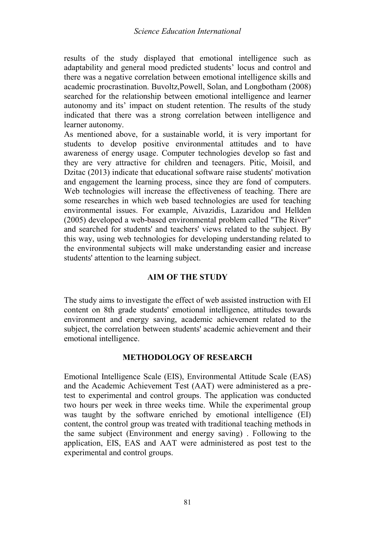results of the study displayed that emotional intelligence such as adaptability and general mood predicted students' locus and control and there was a negative correlation between emotional intelligence skills and academic procrastination. Buvoltz,Powell, Solan, and Longbotham (2008) searched for the relationship between emotional intelligence and learner autonomy and its' impact on student retention. The results of the study indicated that there was a strong correlation between intelligence and learner autonomy.

As mentioned above, for a sustainable world, it is very important for students to develop positive environmental attitudes and to have awareness of energy usage. Computer technologies develop so fast and they are very attractive for children and teenagers. Pitic, Moisil, and Dzitac (2013) indicate that educational software raise students' motivation and engagement the learning process, since they are fond of computers. Web technologies will increase the effectiveness of teaching. There are some researches in which web based technologies are used for teaching environmental issues. For example, Aivazidis, Lazaridou and Hellden (2005) developed a web-based environmental problem called "The River" and searched for students' and teachers' views related to the subject. By this way, using web technologies for developing understanding related to the environmental subjects will make understanding easier and increase students' attention to the learning subject.

## **AIM OF THE STUDY**

The study aims to investigate the effect of web assisted instruction with EI content on 8th grade students' emotional intelligence, attitudes towards environment and energy saving, academic achievement related to the subject, the correlation between students' academic achievement and their emotional intelligence.

### **METHODOLOGY OF RESEARCH**

Emotional Intelligence Scale (EIS), Environmental Attitude Scale (EAS) and the Academic Achievement Test (AAT) were administered as a pretest to experimental and control groups. The application was conducted two hours per week in three weeks time. While the experimental group was taught by the software enriched by emotional intelligence (EI) content, the control group was treated with traditional teaching methods in the same subject (Environment and energy saving) . Following to the application, EIS, EAS and AAT were administered as post test to the experimental and control groups.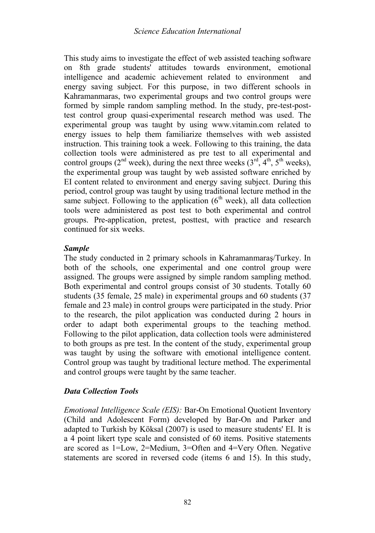This study aims to investigate the effect of web assisted teaching software on 8th grade students' attitudes towards environment, emotional intelligence and academic achievement related to environment and energy saving subject. For this purpose, in two different schools in Kahramanmaras, two experimental groups and two control groups were formed by simple random sampling method. In the study, pre-test-posttest control group quasi-experimental research method was used. The experimental group was taught by using www.vitamin.com related to energy issues to help them familiarize themselves with web assisted instruction. This training took a week. Following to this training, the data collection tools were administered as pre test to all experimental and control groups ( $2^{nd}$  week), during the next three weeks ( $3^{rd}$ ,  $4^{th}$ ,  $5^{th}$  weeks), the experimental group was taught by web assisted software enriched by EI content related to environment and energy saving subject. During this period, control group was taught by using traditional lecture method in the same subject. Following to the application  $(6<sup>th</sup> week)$ , all data collection tools were administered as post test to both experimental and control groups. Pre-application, pretest, posttest, with practice and research continued for six weeks.

# *Sample*

The study conducted in 2 primary schools in Kahramanmaraş/Turkey. In both of the schools, one experimental and one control group were assigned. The groups were assigned by simple random sampling method. Both experimental and control groups consist of 30 students. Totally 60 students (35 female, 25 male) in experimental groups and 60 students (37 female and 23 male) in control groups were participated in the study. Prior to the research, the pilot application was conducted during 2 hours in order to adapt both experimental groups to the teaching method. Following to the pilot application, data collection tools were administered to both groups as pre test. In the content of the study, experimental group was taught by using the software with emotional intelligence content. Control group was taught by traditional lecture method. The experimental and control groups were taught by the same teacher.

# *Data Collection Tools*

*Emotional Intelligence Scale (EIS):* Bar-On Emotional Quotient Inventory (Child and Adolescent Form) developed by Bar-On and Parker and adapted to Turkish by Köksal (2007) is used to measure students' EI. It is a 4 point likert type scale and consisted of 60 items. Positive statements are scored as 1=Low, 2=Medium, 3=Often and 4=Very Often. Negative statements are scored in reversed code (items 6 and 15). In this study,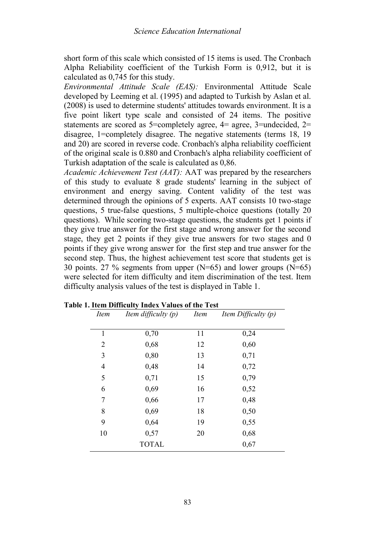short form of this scale which consisted of 15 items is used. The Cronbach Alpha Reliability coefficient of the Turkish Form is 0,912, but it is calculated as 0,745 for this study.

*Environmental Attitude Scale (EAS):* Environmental Attitude Scale developed by Leeming et al. (1995) and adapted to Turkish by Aslan et al. (2008) is used to determine students' attitudes towards environment. It is a five point likert type scale and consisted of 24 items. The positive statements are scored as  $5=$ completely agree,  $4=$  agree,  $3=$ undecided,  $2=$ disagree, 1=completely disagree. The negative statements (terms 18, 19 and 20) are scored in reverse code. Cronbach's alpha reliability coefficient of the original scale is 0.880 and Cronbach's alpha reliability coefficient of Turkish adaptation of the scale is calculated as 0,86.

*Academic Achievement Test (AAT):* AAT was prepared by the researchers of this study to evaluate 8 grade students' learning in the subject of environment and energy saving. Content validity of the test was determined through the opinions of 5 experts. AAT consists 10 two-stage questions, 5 true-false questions, 5 multiple-choice questions (totally 20 questions). While scoring two-stage questions, the students get 1 points if they give true answer for the first stage and wrong answer for the second stage, they get 2 points if they give true answers for two stages and 0 points if they give wrong answer for the first step and true answer for the second step. Thus, the highest achievement test score that students get is 30 points. 27 % segments from upper (N=65) and lower groups (N=65) were selected for item difficulty and item discrimination of the test. Item difficulty analysis values of the test is displayed in Table 1.

| Item | Item difficulty $(p)$ | <i>Item</i> | Item Difficulty $(p)$ |
|------|-----------------------|-------------|-----------------------|
| 1    | 0,70                  | 11          | 0,24                  |
| 2    | 0,68                  | 12          | 0,60                  |
| 3    | 0,80                  | 13          | 0,71                  |
| 4    | 0,48                  | 14          | 0,72                  |
| 5    | 0,71                  | 15          | 0,79                  |
| 6    | 0,69                  | 16          | 0,52                  |
| 7    | 0,66                  | 17          | 0,48                  |
| 8    | 0,69                  | 18          | 0,50                  |
| 9    | 0,64                  | 19          | 0,55                  |
| 10   | 0,57                  | 20          | 0,68                  |
|      | <b>TOTAL</b>          |             | 0,67                  |

**Table 1. Item Difficulty Index Values of the Test**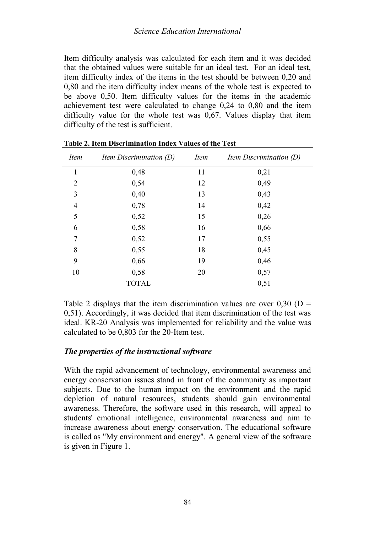Item difficulty analysis was calculated for each item and it was decided that the obtained values were suitable for an ideal test. For an ideal test, item difficulty index of the items in the test should be between 0,20 and 0,80 and the item difficulty index means of the whole test is expected to be above 0,50. Item difficulty values for the items in the academic achievement test were calculated to change 0,24 to 0,80 and the item difficulty value for the whole test was 0,67. Values display that item difficulty of the test is sufficient.

| Item           | Item Discrimination (D) | <i>Item</i> | <i>Item Discrimination <math>(D)</math></i> |
|----------------|-------------------------|-------------|---------------------------------------------|
| 1              | 0,48                    | 11          | 0,21                                        |
| $\overline{2}$ | 0,54                    | 12          | 0,49                                        |
| 3              | 0,40                    | 13          | 0,43                                        |
| 4              | 0,78                    | 14          | 0,42                                        |
| 5              | 0,52                    | 15          | 0,26                                        |
| 6              | 0,58                    | 16          | 0,66                                        |
| 7              | 0,52                    | 17          | 0,55                                        |
| 8              | 0,55                    | 18          | 0,45                                        |
| 9              | 0,66                    | 19          | 0,46                                        |
| 10             | 0,58                    | 20          | 0,57                                        |
|                | <b>TOTAL</b>            |             | 0,51                                        |

| Table 2. Item Discrimination Index Values of the Test |
|-------------------------------------------------------|
|-------------------------------------------------------|

Table 2 displays that the item discrimination values are over  $0.30$  (D = 0,51). Accordingly, it was decided that item discrimination of the test was ideal. KR-20 Analysis was implemented for reliability and the value was calculated to be 0,803 for the 20-Item test.

## *The properties of the instructional software*

With the rapid advancement of technology, environmental awareness and energy conservation issues stand in front of the community as important subjects. Due to the human impact on the environment and the rapid depletion of natural resources, students should gain environmental awareness. Therefore, the software used in this research, will appeal to students' emotional intelligence, environmental awareness and aim to increase awareness about energy conservation. The educational software is called as "My environment and energy". A general view of the software is given in Figure 1.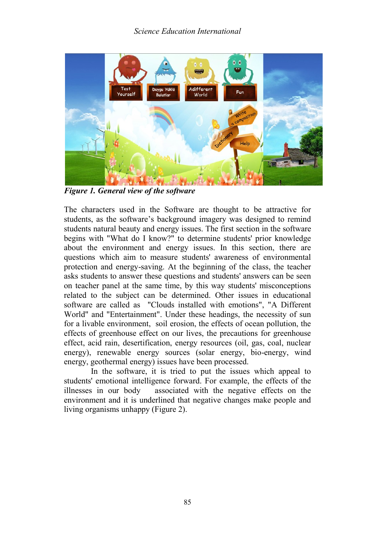

*Figure 1. General view of the software*

The characters used in the Software are thought to be attractive for students, as the software's background imagery was designed to remind students natural beauty and energy issues. The first section in the software begins with "What do I know?" to determine students' prior knowledge about the environment and energy issues. In this section, there are questions which aim to measure students' awareness of environmental protection and energy-saving. At the beginning of the class, the teacher asks students to answer these questions and students' answers can be seen on teacher panel at the same time, by this way students' misconceptions related to the subject can be determined. Other issues in educational software are called as "Clouds installed with emotions", "A Different World" and "Entertainment". Under these headings, the necessity of sun for a livable environment, soil erosion, the effects of ocean pollution, the effects of greenhouse effect on our lives, the precautions for greenhouse effect, acid rain, desertification, energy resources (oil, gas, coal, nuclear energy), renewable energy sources (solar energy, bio-energy, wind energy, geothermal energy) issues have been processed.

In the software, it is tried to put the issues which appeal to students' emotional intelligence forward. For example, the effects of the illnesses in our body associated with the negative effects on the environment and it is underlined that negative changes make people and living organisms unhappy (Figure 2).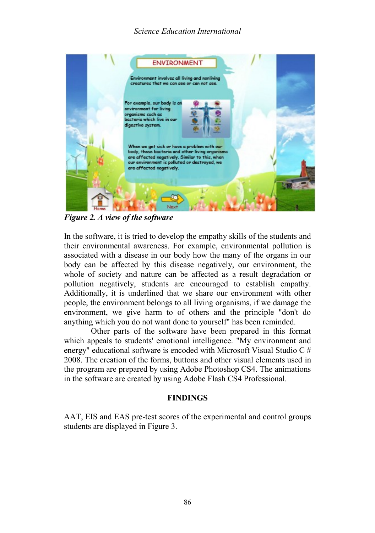# *Science Education International*



*Figure 2. A view of the software*

In the software, it is tried to develop the empathy skills of the students and their environmental awareness. For example, environmental pollution is associated with a disease in our body how the many of the organs in our body can be affected by this disease negatively, our environment, the whole of society and nature can be affected as a result degradation or pollution negatively, students are encouraged to establish empathy. Additionally, it is underlined that we share our environment with other people, the environment belongs to all living organisms, if we damage the environment, we give harm to of others and the principle "don't do anything which you do not want done to yourself" has been reminded.

Other parts of the software have been prepared in this format which appeals to students' emotional intelligence. "My environment and energy" educational software is encoded with Microsoft Visual Studio C # 2008. The creation of the forms, buttons and other visual elements used in the program are prepared by using Adobe Photoshop CS4. The animations in the software are created by using Adobe Flash CS4 Professional.

## **FINDINGS**

AAT, EIS and EAS pre-test scores of the experimental and control groups students are displayed in Figure 3.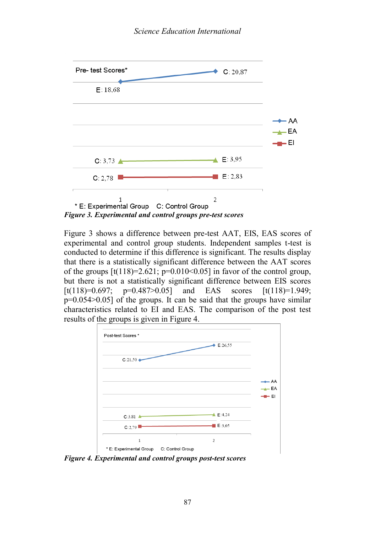

*Figure 3. Experimental and control groups pre-test scores*

Figure 3 shows a difference between pre-test AAT, EIS, EAS scores of experimental and control group students. Independent samples t-test is conducted to determine if this difference is significant. The results display that there is a statistically significant difference between the AAT scores of the groups  $[t(118)=2.621; p=0.010<0.05]$  in favor of the control group, but there is not a statistically significant difference between EIS scores [t(118)=0.697; p=0.487>0.05] and EAS scores  $[t(118)=1.949;$ p=0.054>0.05] of the groups. It can be said that the groups have similar characteristics related to EI and EAS. The comparison of the post test results of the groups is given in Figure 4.



*Figure 4. Experimental and control groups post-test scores*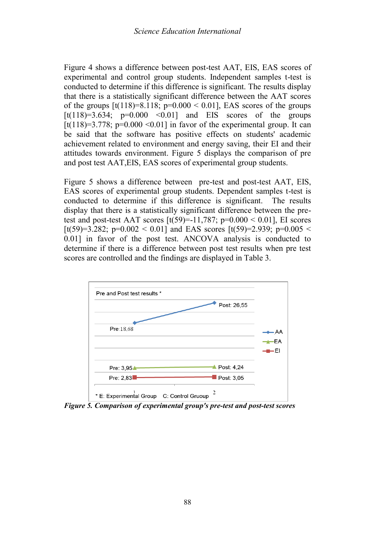Figure 4 shows a difference between post-test AAT, EIS, EAS scores of experimental and control group students. Independent samples t-test is conducted to determine if this difference is significant. The results display that there is a statistically significant difference between the AAT scores of the groups  $[t(118)=8.118; p=0.000 < 0.01]$ , EAS scores of the groups  $[t(118)=3.634; p=0.000$  < 0.01] and EIS scores of the groups [t(118)=3.778; p=0.000 <0.01] in favor of the experimental group. It can be said that the software has positive effects on students' academic achievement related to environment and energy saving, their EI and their attitudes towards environment. Figure 5 displays the comparison of pre and post test AAT,EIS, EAS scores of experimental group students.

Figure 5 shows a difference between pre-test and post-test AAT, EIS, EAS scores of experimental group students. Dependent samples t-test is conducted to determine if this difference is significant. The results display that there is a statistically significant difference between the pretest and post-test AAT scores  $[t(59)=11,787; p=0.000 < 0.01]$ , EI scores [t(59)=3.282; p=0.002 < 0.01] and EAS scores [t(59)=2.939; p=0.005 < 0.01] in favor of the post test. ANCOVA analysis is conducted to determine if there is a difference between post test results when pre test scores are controlled and the findings are displayed in Table 3.



*Figure 5. Comparison of experimental group's pre-test and post-test scores*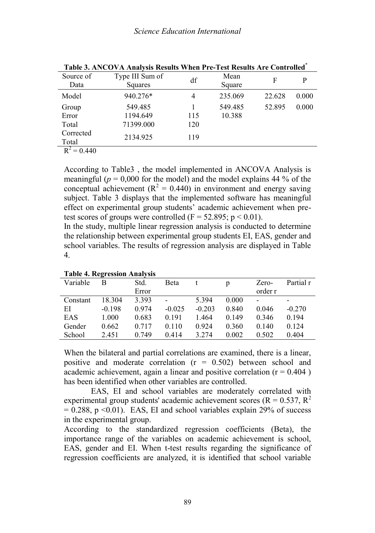| Source of     | Type III Sum of | df  | Mean    | F      | P     |
|---------------|-----------------|-----|---------|--------|-------|
| Data          | <b>Squares</b>  |     | Square  |        |       |
| Model         | 940.276*        | 4   | 235.069 | 22.628 | 0.000 |
| Group         | 549.485         |     | 549.485 | 52.895 | 0.000 |
| Error         | 1194.649        | 115 | 10.388  |        |       |
| Total         | 71399.000       | 120 |         |        |       |
| Corrected     | 2134.925        |     |         |        |       |
| Total         |                 | 119 |         |        |       |
| $n^2$ $0.440$ |                 |     |         |        |       |

**Table 3. ANCOVA Analysis Results When Pre-Test Results Are Controlled\***

 $R^2 = 0.440$ 

According to Table3 , the model implemented in ANCOVA Analysis is meaningful ( $p = 0.000$  for the model) and the model explains 44 % of the conceptual achievement ( $R^2 = 0.440$ ) in environment and energy saving subject. Table 3 displays that the implemented software has meaningful effect on experimental group students' academic achievement when pretest scores of groups were controlled ( $F = 52.895$ ;  $p \le 0.01$ ).

In the study, multiple linear regression analysis is conducted to determine the relationship between experimental group students EI, EAS, gender and school variables. The results of regression analysis are displayed in Table 4.

| Variable | $\cdot$<br>в | Std.  | Beta                     |          | n     | Zero-   | Partial r |
|----------|--------------|-------|--------------------------|----------|-------|---------|-----------|
|          |              | Error |                          |          |       | order r |           |
| Constant | 18.304       | 3.393 | $\overline{\phantom{0}}$ | 5.394    | 0.000 |         | -         |
| ΕI       | $-0.198$     | 0.974 | $-0.025$                 | $-0.203$ | 0.840 | 0.046   | $-0.270$  |
| EAS      | 1.000        | 0.683 | 0.191                    | 1.464    | 0.149 | 0.346   | 0.194     |
| Gender   | 0.662        | 0.717 | 0.110                    | 0.924    | 0.360 | 0.140   | 0.124     |
| School   | 2.451        | 0.749 | 0.414                    | 3.274    | 0.002 | 0.502   | 0.404     |

### **Table 4. Regression Analysis**

When the bilateral and partial correlations are examined, there is a linear, positive and moderate correlation  $(r = 0.502)$  between school and academic achievement, again a linear and positive correlation ( $r = 0.404$ ) has been identified when other variables are controlled.

EAS, EI and school variables are moderately correlated with experimental group students' academic achievement scores ( $R = 0.537$ ,  $R^2$ )  $= 0.288$ , p <0.01). EAS, EI and school variables explain 29% of success in the experimental group.

According to the standardized regression coefficients (Beta), the importance range of the variables on academic achievement is school, EAS, gender and EI. When t-test results regarding the significance of regression coefficients are analyzed, it is identified that school variable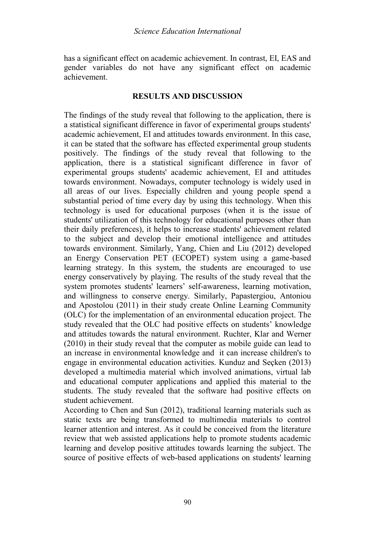has a significant effect on academic achievement. In contrast, EI, EAS and gender variables do not have any significant effect on academic achievement.

#### **RESULTS AND DISCUSSION**

The findings of the study reveal that following to the application, there is a statistical significant difference in favor of experimental groups students' academic achievement, EI and attitudes towards environment. In this case, it can be stated that the software has effected experimental group students positively. The findings of the study reveal that following to the application, there is a statistical significant difference in favor of experimental groups students' academic achievement, EI and attitudes towards environment. Nowadays, computer technology is widely used in all areas of our lives. Especially children and young people spend a substantial period of time every day by using this technology. When this technology is used for educational purposes (when it is the issue of students' utilization of this technology for educational purposes other than their daily preferences), it helps to increase students' achievement related to the subject and develop their emotional intelligence and attitudes towards environment. Similarly, Yang, Chien and Liu (2012) developed an Energy Conservation PET (ECOPET) system using a game-based learning strategy. In this system, the students are encouraged to use energy conservatively by playing. The results of the study reveal that the system promotes students' learners' self-awareness, learning motivation, and willingness to conserve energy. Similarly, Papastergiou, Antoniou and Apostolou (2011) in their study create Online Learning Community (OLC) for the implementation of an environmental education project. The study revealed that the OLC had positive effects on students' knowledge and attitudes towards the natural environment. Ruchter, Klar and Werner (2010) in their study reveal that the computer as mobile guide can lead to an increase in environmental knowledge and it can increase children's to engage in environmental education activities. Kunduz and Seçken (2013) developed a multimedia material which involved animations, virtual lab and educational computer applications and applied this material to the students. The study revealed that the software had positive effects on student achievement.

According to Chen and Sun (2012), traditional learning materials such as static texts are being transformed to multimedia materials to control learner attention and interest. As it could be conceived from the literature review that web assisted applications help to promote students academic learning and develop positive attitudes towards learning the subject. The source of positive effects of web-based applications on students' learning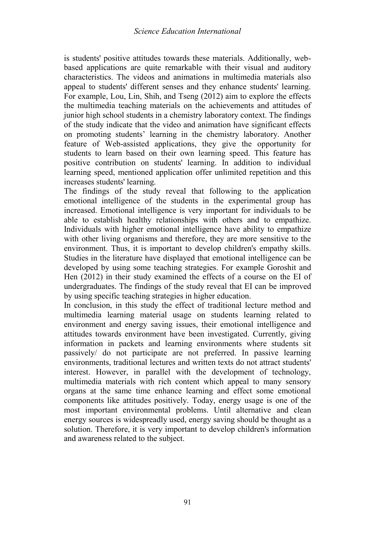is students' positive attitudes towards these materials. Additionally, webbased applications are quite remarkable with their visual and auditory characteristics. The videos and animations in multimedia materials also appeal to students' different senses and they enhance students' learning. For example, Lou, Lin, Shih, and Tseng (2012) aim to explore the effects the multimedia teaching materials on the achievements and attitudes of junior high school students in a chemistry laboratory context. The findings of the study indicate that the video and animation have significant effects on promoting students' learning in the chemistry laboratory. Another feature of Web-assisted applications, they give the opportunity for students to learn based on their own learning speed. This feature has positive contribution on students' learning. In addition to individual learning speed, mentioned application offer unlimited repetition and this increases students' learning.

The findings of the study reveal that following to the application emotional intelligence of the students in the experimental group has increased. Emotional intelligence is very important for individuals to be able to establish healthy relationships with others and to empathize. Individuals with higher emotional intelligence have ability to empathize with other living organisms and therefore, they are more sensitive to the environment. Thus, it is important to develop children's empathy skills. Studies in the literature have displayed that emotional intelligence can be developed by using some teaching strategies. For example Goroshit and Hen (2012) in their study examined the effects of a course on the EI of undergraduates. The findings of the study reveal that EI can be improved by using specific teaching strategies in higher education.

In conclusion, in this study the effect of traditional lecture method and multimedia learning material usage on students learning related to environment and energy saving issues, their emotional intelligence and attitudes towards environment have been investigated. Currently, giving information in packets and learning environments where students sit passively/ do not participate are not preferred. In passive learning environments, traditional lectures and written texts do not attract students' interest. However, in parallel with the development of technology, multimedia materials with rich content which appeal to many sensory organs at the same time enhance learning and effect some emotional components like attitudes positively. Today, energy usage is one of the most important environmental problems. Until alternative and clean energy sources is widespreadly used, energy saving should be thought as a solution. Therefore, it is very important to develop children's information and awareness related to the subject.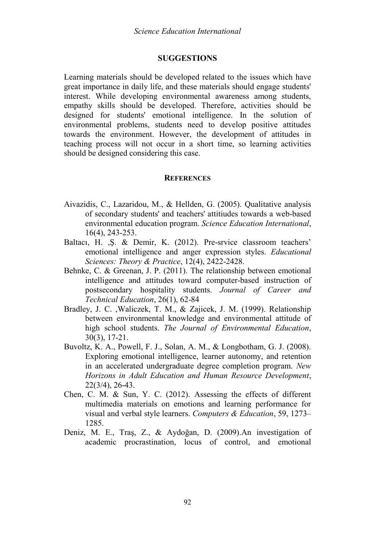## **SUGGESTIONS**

Learning materials should be developed related to the issues which have great importance in daily life, and these materials should engage students' interest. While developing environmental awareness among students, empathy skills should be developed. Therefore, activities should be designed for students' emotional intelligence. In the solution of environmental problems, students need to develop positive attitudes towards the environment. However, the development of attitudes in teaching process will not occur in a short time, so learning activities should be designed considering this case.

#### **REFERENCES**

- Aivazidis, C., Lazaridou, M., & Hellden, G. (2005). Qualitative analysis of secondary students' and teachers' attitiudes towards a web-based environmental education program. *Science Education International*, 16(4), 243-253.
- Baltacı, H. ,Ş. & Demir, K. (2012). Pre-srvice classroom teachers' emotional intelligence and anger expression styles. *Educational Sciences: Theory & Practice*, 12(4), 2422-2428.
- Behnke, C. & Greenan, J. P. (2011). The relationship between emotional intelligence and attitudes toward computer-based instruction of postsecondary hospitality students. *Journal of Career and Technical Education*, 26(1), 62-84
- Bradley, J. C. ,Waliczek, T. M., & Zajicek, J. M. (1999). Relationship between environmental knowledge and environmental attitude of high school students. *The Journal of Environmental Education*, 30(3), 17-21.
- Buvoltz, K. A., Powell, F. J., Solan, A. M., & Longbotham, G. J. (2008). Exploring emotional intelligence, learner autonomy, and retention in an accelerated undergraduate degree completion program. *New Horizons in Adult Education and Human Resource Development*, 22(3/4), 26-43.
- Chen, C. M. & Sun, Y. C. (2012). Assessing the effects of different multimedia materials on emotions and learning performance for visual and verbal style learners. *Computers & Education*, 59, 1273– 1285.
- Deniz, M. E., Traş, Z., & Aydoğan, D. (2009).An investigation of academic procrastination, locus of control, and emotional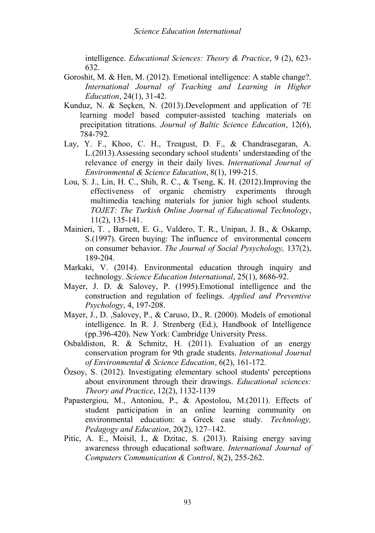intelligence. *Educational Sciences: Theory & Practice*, 9 (2), 623- 632.

- Goroshit, M. & Hen, M. (2012). Emotional intelligence: A stable change?. *International Journal of Teaching and Learning in Higher Education*, 24(1), 31-42.
- Kunduz, N. & Seçken, N. (2013).Development and application of 7E learning model based computer-assisted teaching materials on precipitation titrations. *Journal of Baltic Science Education*, 12(6), 784-792.
- Lay, Y. F., Khoo, C. H., Treagust, D. F., & Chandrasegaran, A. L.(2013).Assessing secondary school students' understanding of the relevance of energy in their daily lives. *International Journal of Environmental & Science Education*, 8(1), 199-215.
- Lou, S. J., Lin, H. C., Shih, R. C., & Tseng, K. H. (2012).Improving the effectiveness of organic chemistry experiments through multimedia teaching materials for junior high school students*. TOJET: The Turkish Online Journal of Educational Technology*, 11(2), 135-141.
- Mainieri, T. , Barnett, E. G., Valdero, T. R., Unipan, J. B., & Oskamp, S.(1997). Green buying: The influence of environmental concern on consumer behavior. *The Journal of Social Pysychology,* 137(2), 189-204.
- Markaki, V. (2014). Environmental education through inquiry and technology. *Science Education International*, 25(1), 8686-92.
- Mayer, J. D. & Salovey, P. (1995).Emotional intelligence and the construction and regulation of feelings. *Applied and Preventive Psychology*, 4, 197-208.
- Mayer, J., D. ,Salovey, P., & Caruso, D., R. (2000). Models of emotional intelligence. In R. J. Strenberg (Ed.), Handbook of Intelligence (pp.396-420). New York: Cambridge University Press.
- Osbaldiston, R. & Schmitz, H. (2011). Evaluation of an energy conservation program for 9th grade students. *International Journal of Environmental & Science Education*, 6(2), 161-172.
- Özsoy, S. (2012). Investigating elementary school students' perceptions about environment through their drawings. *Educational sciences: Theory and Practice*, 12(2), 1132-1139
- Papastergiou, M., Antoniou, P., & Apostolou, M.(2011). Effects of student participation in an online learning community on environmental education: a Greek case study. *Technology, Pedagogy and Education*, 20(2), 127–142.
- Pitic, A. E., Moisil, I., & Dzitac, S. (2013). Raising energy saving awareness through educational software. *International Journal of Computers Communication & Control*, 8(2), 255-262.